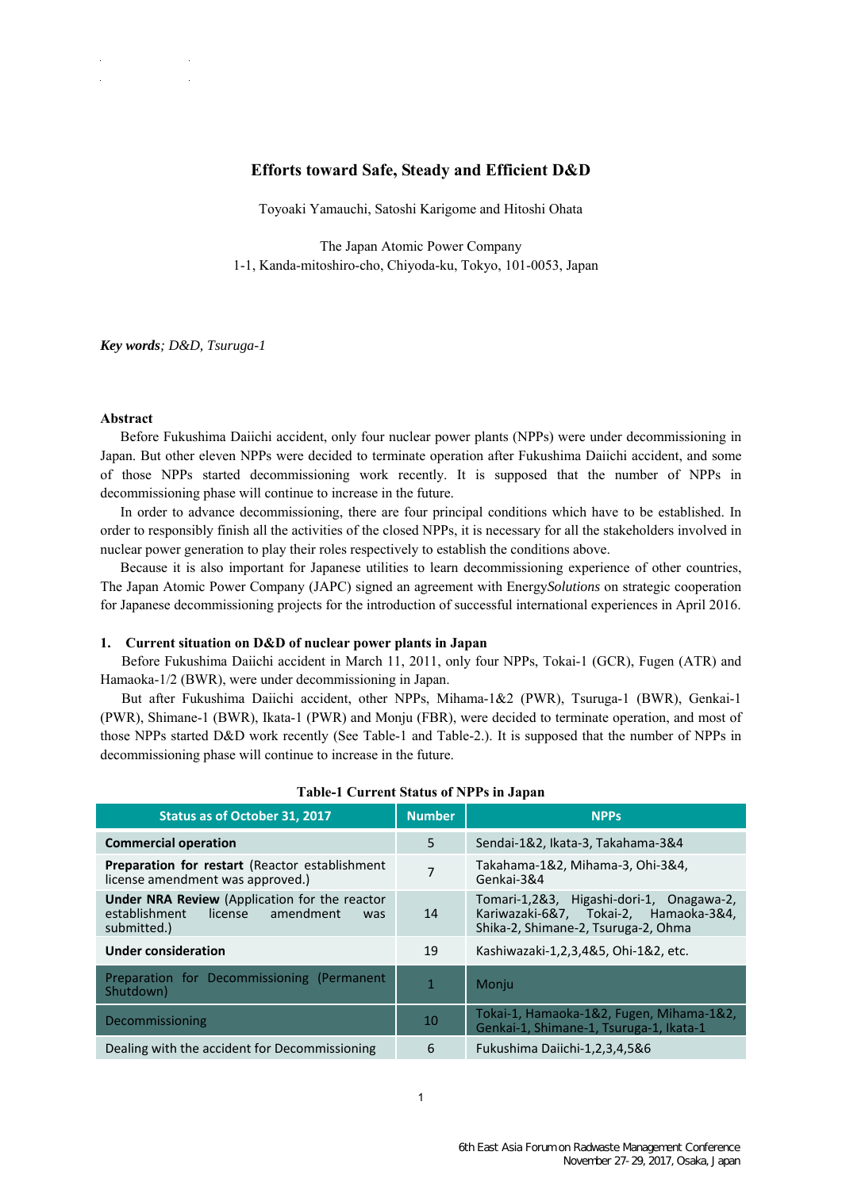## **Efforts toward Safe, Steady and Efficient D&D**

Toyoaki Yamauchi, Satoshi Karigome and Hitoshi Ohata

The Japan Atomic Power Company 1-1, Kanda-mitoshiro-cho, Chiyoda-ku, Tokyo, 101-0053, Japan

*Key words; D&D, Tsuruga-1* 

#### **Abstract**

Before Fukushima Daiichi accident, only four nuclear power plants (NPPs) were under decommissioning in Japan. But other eleven NPPs were decided to terminate operation after Fukushima Daiichi accident, and some of those NPPs started decommissioning work recently. It is supposed that the number of NPPs in decommissioning phase will continue to increase in the future.

In order to advance decommissioning, there are four principal conditions which have to be established. In order to responsibly finish all the activities of the closed NPPs, it is necessary for all the stakeholders involved in nuclear power generation to play their roles respectively to establish the conditions above.

Because it is also important for Japanese utilities to learn decommissioning experience of other countries, The Japan Atomic Power Company (JAPC) signed an agreement with Energy*Solutions* on strategic cooperation for Japanese decommissioning projects for the introduction of successful international experiences in April 2016.

### **1. Current situation on D&D of nuclear power plants in Japan**

Before Fukushima Daiichi accident in March 11, 2011, only four NPPs, Tokai-1 (GCR), Fugen (ATR) and Hamaoka-1/2 (BWR), were under decommissioning in Japan.

But after Fukushima Daiichi accident, other NPPs, Mihama-1&2 (PWR), Tsuruga-1 (BWR), Genkai-1 (PWR), Shimane-1 (BWR), Ikata-1 (PWR) and Monju (FBR), were decided to terminate operation, and most of those NPPs started D&D work recently (See Table-1 and Table-2.). It is supposed that the number of NPPs in decommissioning phase will continue to increase in the future.

| Status as of October 31, 2017                                                                                       | <b>Number</b>  | <b>NPPs</b>                                                                                                              |
|---------------------------------------------------------------------------------------------------------------------|----------------|--------------------------------------------------------------------------------------------------------------------------|
| <b>Commercial operation</b>                                                                                         | 5              | Sendai-1&2, Ikata-3, Takahama-3&4                                                                                        |
| <b>Preparation for restart (Reactor establishment)</b><br>license amendment was approved.)                          | $\overline{7}$ | Takahama-1&2, Mihama-3, Ohi-3&4,<br>Genkai-3&4                                                                           |
| <b>Under NRA Review</b> (Application for the reactor<br>license<br>establishment<br>amendment<br>was<br>submitted.) | 14             | Tomari-1,2&3, Higashi-dori-1, Onagawa-2,<br>Kariwazaki-6&7, Tokai-2, Hamaoka-3&4,<br>Shika-2, Shimane-2, Tsuruga-2, Ohma |
| <b>Under consideration</b>                                                                                          | 19             | Kashiwazaki-1,2,3,4&5, Ohi-1&2, etc.                                                                                     |
| Preparation for Decommissioning (Permanent<br>Shutdown)                                                             | $\mathbf{1}$   | Moniu                                                                                                                    |
| Decommissioning                                                                                                     | 10             | Tokai-1, Hamaoka-1&2, Fugen, Mihama-1&2,<br>Genkai-1, Shimane-1, Tsuruga-1, Ikata-1                                      |
| Dealing with the accident for Decommissioning                                                                       | 6              | Fukushima Daiichi-1,2,3,4,5&6                                                                                            |

#### **Table-1 Current Status of NPPs in Japan**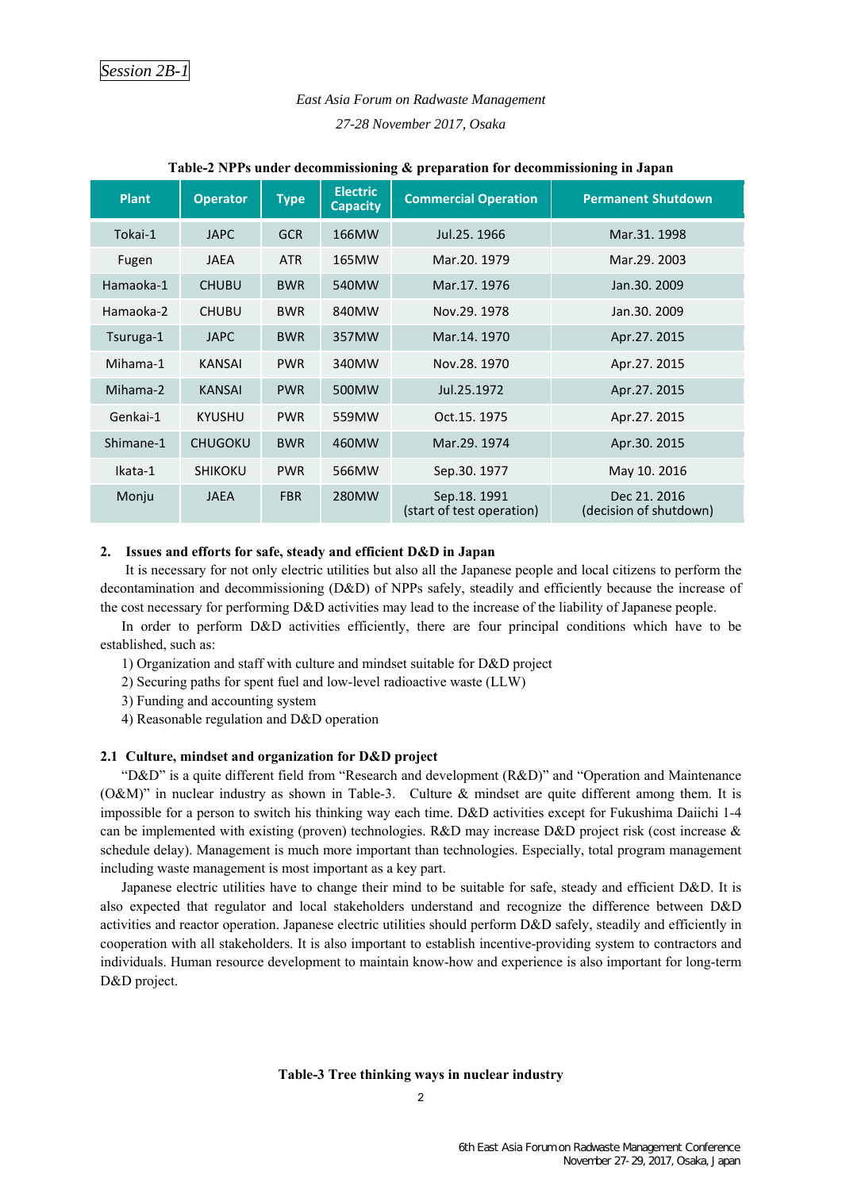# *East Asia Forum on Radwaste Management 27-28 November 2017, Osaka*

| <b>Plant</b> | <b>Operator</b> | <b>Type</b> | <b>Electric</b><br><b>Capacity</b> | <b>Commercial Operation</b>              | <b>Permanent Shutdown</b>              |
|--------------|-----------------|-------------|------------------------------------|------------------------------------------|----------------------------------------|
| Tokai-1      | <b>JAPC</b>     | <b>GCR</b>  | 166MW                              | Jul.25, 1966                             | Mar.31, 1998                           |
| Fugen        | <b>JAEA</b>     | <b>ATR</b>  | 165MW                              | Mar. 20, 1979                            | Mar.29, 2003                           |
| Hamaoka-1    | <b>CHUBU</b>    | <b>BWR</b>  | 540MW                              | Mar.17, 1976                             | Jan.30, 2009                           |
| Hamaoka-2    | <b>CHUBU</b>    | <b>BWR</b>  | 840MW                              | Nov.29, 1978                             | Jan.30, 2009                           |
| Tsuruga-1    | <b>JAPC</b>     | <b>BWR</b>  | 357MW                              | Mar. 14, 1970                            | Apr.27. 2015                           |
| Mihama-1     | <b>KANSAI</b>   | <b>PWR</b>  | 340MW                              | Nov.28, 1970                             | Apr.27. 2015                           |
| Mihama-2     | <b>KANSAI</b>   | <b>PWR</b>  | 500MW                              | Jul.25.1972                              | Apr.27.2015                            |
| Genkai-1     | <b>KYUSHU</b>   | <b>PWR</b>  | 559MW                              | Oct.15, 1975                             | Apr.27.2015                            |
| Shimane-1    | <b>CHUGOKU</b>  | <b>BWR</b>  | 460MW                              | Mar.29, 1974                             | Apr.30. 2015                           |
| Ikata-1      | <b>SHIKOKU</b>  | <b>PWR</b>  | 566MW                              | Sep.30. 1977                             | May 10. 2016                           |
| Monju        | <b>JAEA</b>     | <b>FBR</b>  | 280MW                              | Sep.18.1991<br>(start of test operation) | Dec 21, 2016<br>(decision of shutdown) |

#### **Table-2 NPPs under decommissioning & preparation for decommissioning in Japan**

#### **2. Issues and efforts for safe, steady and efficient D&D in Japan**

It is necessary for not only electric utilities but also all the Japanese people and local citizens to perform the decontamination and decommissioning (D&D) of NPPs safely, steadily and efficiently because the increase of the cost necessary for performing D&D activities may lead to the increase of the liability of Japanese people.

In order to perform D&D activities efficiently, there are four principal conditions which have to be established, such as:

1) Organization and staff with culture and mindset suitable for D&D project

2) Securing paths for spent fuel and low-level radioactive waste (LLW)

3) Funding and accounting system

4) Reasonable regulation and D&D operation

#### **2.1 Culture, mindset and organization for D&D project**

"D&D" is a quite different field from "Research and development (R&D)" and "Operation and Maintenance (O&M)" in nuclear industry as shown in Table-3. Culture & mindset are quite different among them. It is impossible for a person to switch his thinking way each time. D&D activities except for Fukushima Daiichi 1-4 can be implemented with existing (proven) technologies. R&D may increase D&D project risk (cost increase & schedule delay). Management is much more important than technologies. Especially, total program management including waste management is most important as a key part.

Japanese electric utilities have to change their mind to be suitable for safe, steady and efficient D&D. It is also expected that regulator and local stakeholders understand and recognize the difference between D&D activities and reactor operation. Japanese electric utilities should perform D&D safely, steadily and efficiently in cooperation with all stakeholders. It is also important to establish incentive-providing system to contractors and individuals. Human resource development to maintain know-how and experience is also important for long-term D&D project.

#### **Table-3 Tree thinking ways in nuclear industry**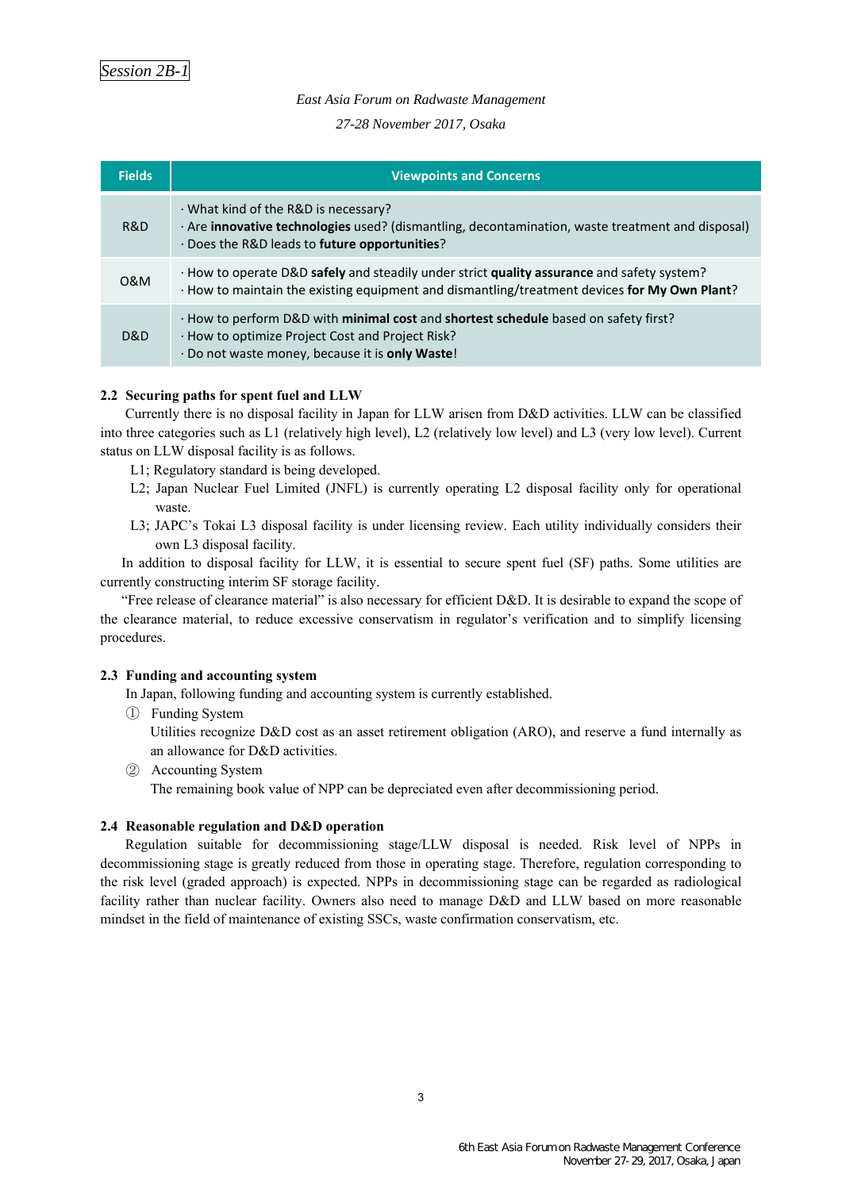### *East Asia Forum on Radwaste Management*

*27-28 November 2017, Osaka* 

| <b>Fields</b> | <b>Viewpoints and Concerns</b>                                                                                                                                                                   |
|---------------|--------------------------------------------------------------------------------------------------------------------------------------------------------------------------------------------------|
| R&D           | · What kind of the R&D is necessary?<br>· Are <b>innovative technologies</b> used? (dismantling, decontamination, waste treatment and disposal)<br>· Does the R&D leads to future opportunities? |
| 0&M           | · How to operate D&D safely and steadily under strict quality assurance and safety system?<br>· How to maintain the existing equipment and dismantling/treatment devices for My Own Plant?       |
| D&D           | · How to perform D&D with minimal cost and shortest schedule based on safety first?<br>· How to optimize Project Cost and Project Risk?<br>· Do not waste money, because it is only Waste!       |

### **2.2 Securing paths for spent fuel and LLW**

Currently there is no disposal facility in Japan for LLW arisen from D&D activities. LLW can be classified into three categories such as L1 (relatively high level), L2 (relatively low level) and L3 (very low level). Current status on LLW disposal facility is as follows.

- L1; Regulatory standard is being developed.
- L2; Japan Nuclear Fuel Limited (JNFL) is currently operating L2 disposal facility only for operational waste.
- L3; JAPC's Tokai L3 disposal facility is under licensing review. Each utility individually considers their own L3 disposal facility.

In addition to disposal facility for LLW, it is essential to secure spent fuel (SF) paths. Some utilities are currently constructing interim SF storage facility.

"Free release of clearance material" is also necessary for efficient D&D. It is desirable to expand the scope of the clearance material, to reduce excessive conservatism in regulator's verification and to simplify licensing procedures.

### **2.3 Funding and accounting system**

In Japan, following funding and accounting system is currently established.

① Funding System

Utilities recognize D&D cost as an asset retirement obligation (ARO), and reserve a fund internally as an allowance for D&D activities.

② Accounting System

The remaining book value of NPP can be depreciated even after decommissioning period.

### **2.4 Reasonable regulation and D&D operation**

Regulation suitable for decommissioning stage/LLW disposal is needed. Risk level of NPPs in decommissioning stage is greatly reduced from those in operating stage. Therefore, regulation corresponding to the risk level (graded approach) is expected. NPPs in decommissioning stage can be regarded as radiological facility rather than nuclear facility. Owners also need to manage D&D and LLW based on more reasonable mindset in the field of maintenance of existing SSCs, waste confirmation conservatism, etc.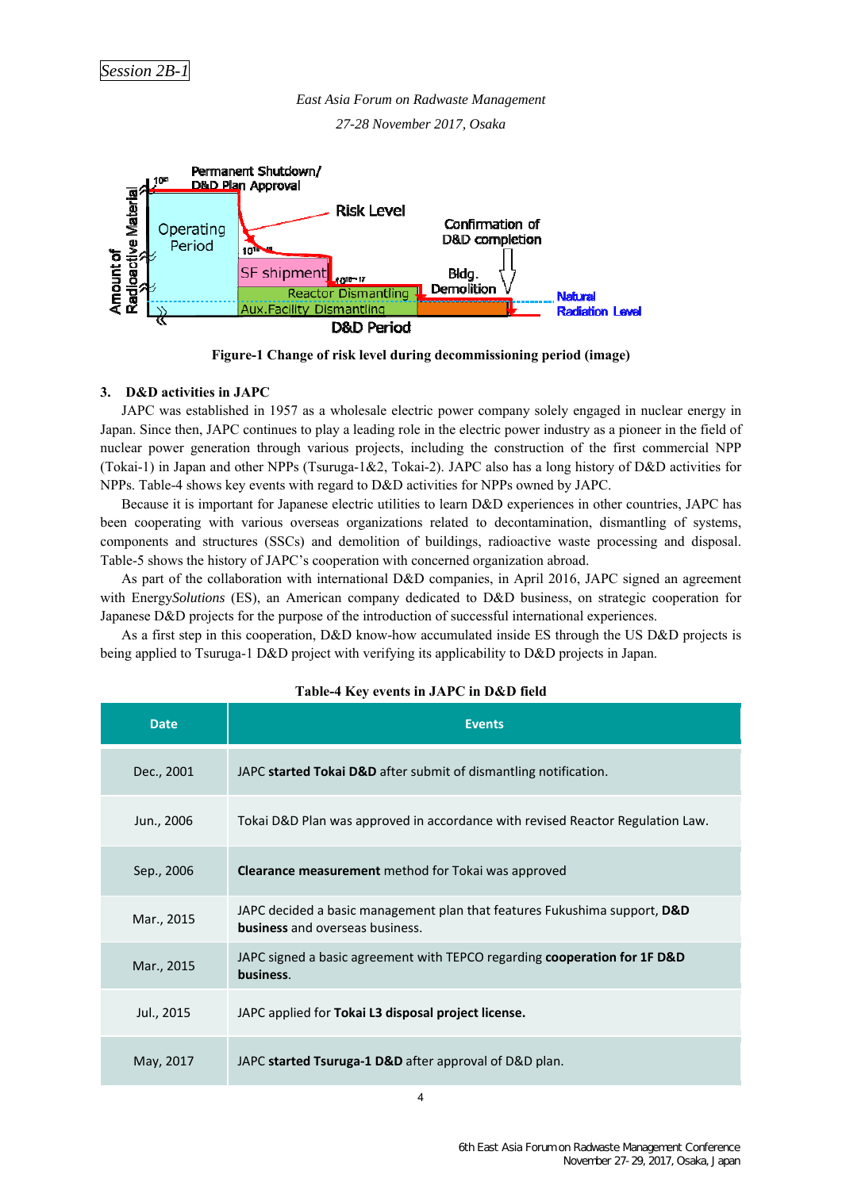*East Asia Forum on Radwaste Management* 

*27-28 November 2017, Osaka* 



**Figure-1 Change of risk level during decommissioning period (image)** 

### **3. D&D activities in JAPC**

JAPC was established in 1957 as a wholesale electric power company solely engaged in nuclear energy in Japan. Since then, JAPC continues to play a leading role in the electric power industry as a pioneer in the field of nuclear power generation through various projects, including the construction of the first commercial NPP (Tokai-1) in Japan and other NPPs (Tsuruga-1&2, Tokai-2). JAPC also has a long history of D&D activities for NPPs. Table-4 shows key events with regard to D&D activities for NPPs owned by JAPC.

Because it is important for Japanese electric utilities to learn D&D experiences in other countries, JAPC has been cooperating with various overseas organizations related to decontamination, dismantling of systems, components and structures (SSCs) and demolition of buildings, radioactive waste processing and disposal. Table-5 shows the history of JAPC's cooperation with concerned organization abroad.

As part of the collaboration with international D&D companies, in April 2016, JAPC signed an agreement with Energy*Solutions* (ES), an American company dedicated to D&D business, on strategic cooperation for Japanese D&D projects for the purpose of the introduction of successful international experiences.

As a first step in this cooperation, D&D know-how accumulated inside ES through the US D&D projects is being applied to Tsuruga-1 D&D project with verifying its applicability to D&D projects in Japan.

| Table-4 Key events in JAPC in D&D field |  |  |  |  |  |
|-----------------------------------------|--|--|--|--|--|
|-----------------------------------------|--|--|--|--|--|

| <b>Date</b> | <b>Events</b>                                                                                                       |
|-------------|---------------------------------------------------------------------------------------------------------------------|
| Dec., 2001  | JAPC started Tokai D&D after submit of dismantling notification.                                                    |
| Jun., 2006  | Tokai D&D Plan was approved in accordance with revised Reactor Regulation Law.                                      |
| Sep., 2006  | <b>Clearance measurement</b> method for Tokai was approved                                                          |
| Mar., 2015  | JAPC decided a basic management plan that features Fukushima support, D&D<br><b>business</b> and overseas business. |
| Mar., 2015  | JAPC signed a basic agreement with TEPCO regarding cooperation for 1F D&D<br>business.                              |
| Jul., 2015  | JAPC applied for Tokai L3 disposal project license.                                                                 |
| May, 2017   | JAPC started Tsuruga-1 D&D after approval of D&D plan.                                                              |

4